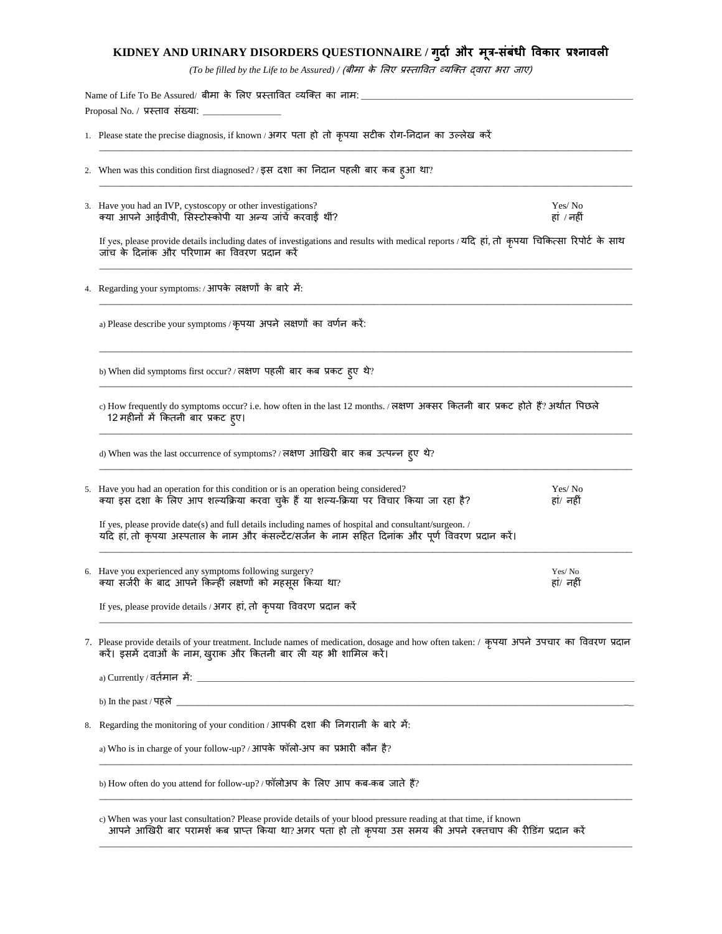## **KIDNEY AND URINARY DISORDERS QUESTIONNAIRE / गुर्दा और मूत्र-संबंधी विकदर प्रश्नदिली**

*(To be filled by the Life to be Assured) /* (बीमा के लिए प्रस्तावित व्यक्तत द्िारा भरा जाए)

 $\bot$  , and the contribution of the contribution of the contribution of the contribution of the contribution of the contribution of the contribution of the contribution of the contribution of the contribution of the contri

\_\_\_\_\_\_\_\_\_\_\_\_\_\_\_\_\_\_\_\_\_\_\_\_\_\_\_\_\_\_\_\_\_\_\_\_\_\_\_\_\_\_\_\_\_\_\_\_\_\_\_\_\_\_\_\_\_\_\_\_\_\_\_\_\_\_\_\_\_\_\_\_\_\_\_\_\_\_\_\_\_\_\_\_\_\_\_\_\_\_\_\_\_\_\_\_\_\_\_

Name of Life To Be Assured/ बीमा के लिए प्रस्तावित व्यक्ति का नाम: Proposal No. / प्रस्ताव संख्या:

- 1. Please state the precise diagnosis, if known / अगर पता हो तो कृपया सटीक रोग-ननदान का उल्िेख करें
- 2. When was this condition first diagnosed? / इस दशा का निदान पहली बार कब हुआ था?
- 3. Have you had an IVP, cystoscopy or other investigations? Yes/ No त्म्या आपने आईवीपी, सिस्टोस्कोपी या अन्य जांचें करवाईं थीं? ं हां / नहीं / नहीं / नहीं / नहीं

If yes, please provide details including dates of investigations and results with medical reports / यदि हां, तो कृपया चिकित्सा रिपोर्ट के साथ जांच के दिनांक और परिणाम का विवरण प्रदान करें  $\bot$  , and the contribution of the contribution of the contribution of the contribution of the contribution of the contribution of the contribution of the contribution of the contribution of the contribution of the contri

 $\bot$  , and the contribution of the contribution of the contribution of the contribution of the contribution of the contribution of the contribution of the contribution of the contribution of the contribution of the contri

 $\bot$  , and the contribution of the contribution of the contribution of the contribution of the contribution of the contribution of the contribution of the contribution of the contribution of the contribution of the contri

\_\_\_\_\_\_\_\_\_\_\_\_\_\_\_\_\_\_\_\_\_\_\_\_\_\_\_\_\_\_\_\_\_\_\_\_\_\_\_\_\_\_\_\_\_\_\_\_\_\_\_\_\_\_\_\_\_\_\_\_\_\_\_\_\_\_\_\_\_\_\_\_\_\_\_\_\_\_\_\_\_\_\_\_\_\_\_\_\_\_\_\_\_\_\_\_\_\_\_

\_\_\_\_\_\_\_\_\_\_\_\_\_\_\_\_\_\_\_\_\_\_\_\_\_\_\_\_\_\_\_\_\_\_\_\_\_\_\_\_\_\_\_\_\_\_\_\_\_\_\_\_\_\_\_\_\_\_\_\_\_\_\_\_\_\_\_\_\_\_\_\_\_\_\_\_\_\_\_\_\_\_\_\_\_\_\_\_\_\_\_\_\_\_\_\_\_\_\_

\_\_\_\_\_\_\_\_\_\_\_\_\_\_\_\_\_\_\_\_\_\_\_\_\_\_\_\_\_\_\_\_\_\_\_\_\_\_\_\_\_\_\_\_\_\_\_\_\_\_\_\_\_\_\_\_\_\_\_\_\_\_\_\_\_\_\_\_\_\_\_\_\_\_\_\_\_\_\_\_\_\_\_\_\_\_\_\_\_\_\_\_\_\_\_\_\_\_\_

 $\bot$  , and the contribution of the contribution of the contribution of the contribution of the contribution of the contribution of the contribution of the contribution of the contribution of the contribution of the contri

4. Regarding your symptoms: / आपके िक्षणों के बारे में:

a) Please describe your symptoms / कृपया अपने लक्षणों का वर्णन करें:

b) When did symptoms first occur? / लक्षण पहली बार कब प्रकट हुए थे?

c) How frequently do symptoms occur? i.e. how often in the last 12 months. / लक्षण अक्सर कितनी बार प्रकट होते हैं? अर्थात पिछले 12 महीनों में ककतनी बार प्रकट हुए।

d) When was the last occurrence of symptoms? / लक्षण आखिरी बार कब उत्पन्न हुए थे?

| 5. Have you had an operation for this condition or is an operation being considered?<br>क्या इस दशा के लिए आप शल्यक्रिया करवा चुके हैं या शल्य-क्रिया पर विचार किया जा रहा है? | Yes/No<br>हां/ नहीं |
|--------------------------------------------------------------------------------------------------------------------------------------------------------------------------------|---------------------|
|                                                                                                                                                                                |                     |

If yes, please provide date(s) and full details including names of hospital and consultant/surgeon. / यदि हां, तो कृपया अस्पताल के नाम और कंसल्टेंट/सजेन के नाम सहित दिनांक और पूर्ण विवरण प्रदान करें।

6. Have you experienced any symptoms following surgery? Yes/ No Yes/ No त्म्या सर्जरी के बाद आपने किन्हीं लक्षणों को महसूस किया था? हां/ हां/ नहीं कर हां/ नहीं

If yes, please provide details / अगर हां, तो कृपया विवरण प्रदान करें

7. Please provide details of your treatment. Include names of medication, dosage and how often taken: / कृपया अपने उपचार का विवरण प्रदान करें। इसमें दवाओं के नाम, खुराक और कितनी बार ली यह भी शामिल करें।

 $\bot$  , and the contribution of the contribution of the contribution of the contribution of the contribution of the contribution of the contribution of the contribution of the contribution of the contribution of the contri

| b) In the past / पहले                                                            |
|----------------------------------------------------------------------------------|
|                                                                                  |
| 8. Regarding the monitoring of your condition / आपकी दशा की निगरानी के बारे में: |
|                                                                                  |
| a) Who is in charge of your follow-up? / आपके फॉलो-अप का प्रभारी कौन है?         |

 $\bot$  , and the contribution of the contribution of the contribution of the contribution of the contribution of the contribution of the contribution of the contribution of the contribution of the contribution of the contri

 $\bot$  , and the contribution of the contribution of the contribution of the contribution of the contribution of the contribution of the contribution of the contribution of the contribution of the contribution of the contri

 $\bot$  , and the contribution of the contribution of the contribution of the contribution of the contribution of the contribution of the contribution of the contribution of the contribution of the contribution of the contri

b) How often do you attend for follow-up? / फॉलोअप के लिए आप कब-कब जाते हैं?

c) When was your last consultation? Please provide details of your blood pressure reading at that time, if known आपने आखिरी बार परामर्श कब प्राप्त किया था?अगर पता हो तो कृपया उस समय की अपने रक्तचाप की रीडिंग प्रदान करें